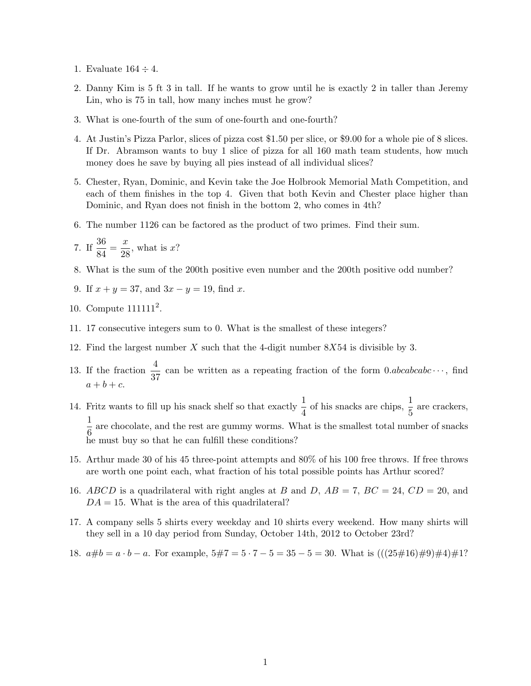- 1. Evaluate  $164 \div 4$ .
- 2. Danny Kim is 5 ft 3 in tall. If he wants to grow until he is exactly 2 in taller than Jeremy Lin, who is 75 in tall, how many inches must he grow?
- 3. What is one-fourth of the sum of one-fourth and one-fourth?
- 4. At Justin's Pizza Parlor, slices of pizza cost \$1.50 per slice, or \$9.00 for a whole pie of 8 slices. If Dr. Abramson wants to buy 1 slice of pizza for all 160 math team students, how much money does he save by buying all pies instead of all individual slices?
- 5. Chester, Ryan, Dominic, and Kevin take the Joe Holbrook Memorial Math Competition, and each of them finishes in the top 4. Given that both Kevin and Chester place higher than Dominic, and Ryan does not finish in the bottom 2, who comes in 4th?
- 6. The number 1126 can be factored as the product of two primes. Find their sum.

7. If 
$$
\frac{36}{84} = \frac{x}{28}
$$
, what is x?

- 8. What is the sum of the 200th positive even number and the 200th positive odd number?
- 9. If  $x + y = 37$ , and  $3x y = 19$ , find x.
- 10. Compute  $111111<sup>2</sup>$ .
- 11. 17 consecutive integers sum to 0. What is the smallest of these integers?
- 12. Find the largest number X such that the 4-digit number 8X54 is divisible by 3.
- 13. If the fraction  $\frac{4}{37}$  can be written as a repeating fraction of the form 0.abcabcabc  $\cdots$ , find  $a+b+c$ .
- 14. Fritz wants to fill up his snack shelf so that exactly  $\frac{1}{4}$  of his snacks are chips,  $\frac{1}{5}$  are crackers, 1  $\frac{1}{6}$  are chocolate, and the rest are gummy worms. What is the smallest total number of snacks he must buy so that he can fulfill these conditions?
- 15. Arthur made 30 of his 45 three-point attempts and 80% of his 100 free throws. If free throws are worth one point each, what fraction of his total possible points has Arthur scored?
- 16. ABCD is a quadrilateral with right angles at B and D,  $AB = 7$ ,  $BC = 24$ ,  $CD = 20$ , and  $DA = 15$ . What is the area of this quadrilateral?
- 17. A company sells 5 shirts every weekday and 10 shirts every weekend. How many shirts will they sell in a 10 day period from Sunday, October 14th, 2012 to October 23rd?
- 18.  $a\#b = a \cdot b a$ . For example,  $5\#7 = 5 \cdot 7 5 = 35 5 = 30$ . What is  $(((25\#16)\#9)\#4)\#1$ ?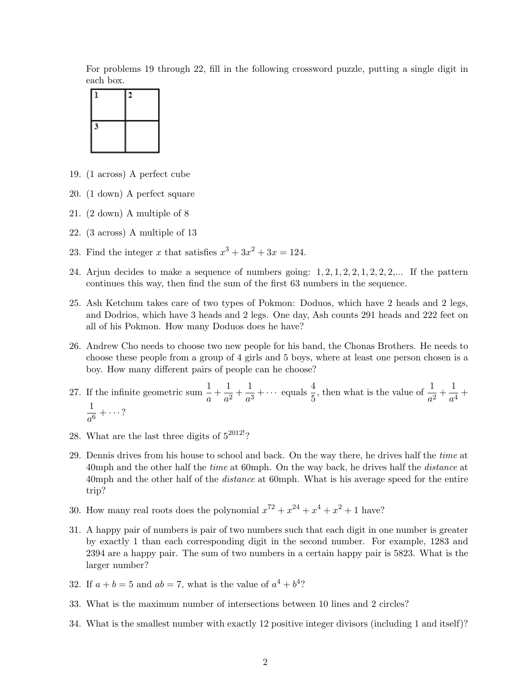For problems 19 through 22, fill in the following crossword puzzle, putting a single digit in each box.



- 19. (1 across) A perfect cube
- 20. (1 down) A perfect square
- 21. (2 down) A multiple of 8
- 22. (3 across) A multiple of 13
- 23. Find the integer x that satisfies  $x^3 + 3x^2 + 3x = 124$ .
- 24. Arjun decides to make a sequence of numbers going:  $1, 2, 1, 2, 2, 1, 2, 2, 2, \ldots$  If the pattern continues this way, then find the sum of the first 63 numbers in the sequence.
- 25. Ash Ketchum takes care of two types of Pokmon: Doduos, which have 2 heads and 2 legs, and Dodrios, which have 3 heads and 2 legs. One day, Ash counts 291 heads and 222 feet on all of his Pokmon. How many Doduos does he have?
- 26. Andrew Cho needs to choose two new people for his band, the Chonas Brothers. He needs to choose these people from a group of 4 girls and 5 boys, where at least one person chosen is a boy. How many different pairs of people can he choose?
- 27. If the infinite geometric sum  $\frac{1}{a} + \frac{1}{a^2}$  $\frac{1}{a^2} + \frac{1}{a^3}$  $\frac{1}{a^3} + \cdots$  equals  $\frac{4}{5}$ , then what is the value of  $\frac{1}{a^2} + \frac{1}{a^4}$  $\frac{1}{a^4}$  + 1  $\frac{1}{a^6} + \cdots$  ?
- 28. What are the last three digits of  $5^{2012!}$ ?
- 29. Dennis drives from his house to school and back. On the way there, he drives half the time at 40mph and the other half the *time* at 60mph. On the way back, he drives half the *distance* at 40mph and the other half of the *distance* at 60mph. What is his average speed for the entire trip?
- 30. How many real roots does the polynomial  $x^{72} + x^{24} + x^4 + x^2 + 1$  have?
- 31. A happy pair of numbers is pair of two numbers such that each digit in one number is greater by exactly 1 than each corresponding digit in the second number. For example, 1283 and 2394 are a happy pair. The sum of two numbers in a certain happy pair is 5823. What is the larger number?
- 32. If  $a + b = 5$  and  $ab = 7$ , what is the value of  $a^4 + b^4$ ?
- 33. What is the maximum number of intersections between 10 lines and 2 circles?
- 34. What is the smallest number with exactly 12 positive integer divisors (including 1 and itself)?